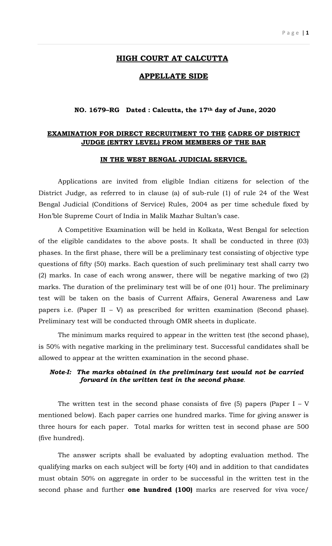# **HIGH COURT AT CALCUTTA**

## **APPELLATE SIDE**

#### **NO. 1679–RG Dated : Calcutta, the 17th day of June, 2020**

# **EXAMINATION FOR DIRECT RECRUITMENT TO THE CADRE OF DISTRICT JUDGE (ENTRY LEVEL) FROM MEMBERS OF THE BAR**

#### **IN THE WEST BENGAL JUDICIAL SERVICE.**

Applications are invited from eligible Indian citizens for selection of the District Judge, as referred to in clause (a) of sub-rule (1) of rule 24 of the West Bengal Judicial (Conditions of Service) Rules, 2004 as per time schedule fixed by Hon'ble Supreme Court of India in Malik Mazhar Sultan's case.

A Competitive Examination will be held in Kolkata, West Bengal for selection of the eligible candidates to the above posts. It shall be conducted in three (03) phases. In the first phase, there will be a preliminary test consisting of objective type questions of fifty (50) marks. Each question of such preliminary test shall carry two (2) marks. In case of each wrong answer, there will be negative marking of two (2) marks. The duration of the preliminary test will be of one (01) hour. The preliminary test will be taken on the basis of Current Affairs, General Awareness and Law papers i.e. (Paper II – V) as prescribed for written examination (Second phase). Preliminary test will be conducted through OMR sheets in duplicate.

The minimum marks required to appear in the written test (the second phase), is 50% with negative marking in the preliminary test. Successful candidates shall be allowed to appear at the written examination in the second phase.

## *Note-I: The marks obtained in the preliminary test would not be carried forward in the written test in the second phase.*

The written test in the second phase consists of five  $(5)$  papers (Paper I – V mentioned below). Each paper carries one hundred marks. Time for giving answer is three hours for each paper. Total marks for written test in second phase are 500 (five hundred).

The answer scripts shall be evaluated by adopting evaluation method. The qualifying marks on each subject will be forty (40) and in addition to that candidates must obtain 50% on aggregate in order to be successful in the written test in the second phase and further **one hundred (100)** marks are reserved for viva voce/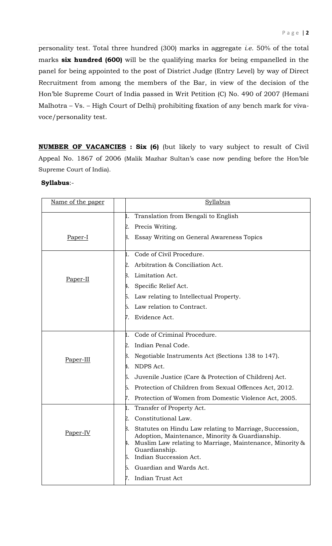personality test. Total three hundred (300) marks in aggregate *i.e*. 50% of the total marks **six hundred (600)** will be the qualifying marks for being empanelled in the panel for being appointed to the post of District Judge (Entry Level) by way of Direct Recruitment from among the members of the Bar, in view of the decision of the Hon'ble Supreme Court of India passed in Writ Petition (C) No. 490 of 2007 (Hemani Malhotra – Vs. – High Court of Delhi) prohibiting fixation of any bench mark for vivavoce/personality test.

**NUMBER OF VACANCIES : Six (6)** (but likely to vary subject to result of Civil Appeal No. 1867 of 2006 (Malik Mazhar Sultan's case now pending before the Hon'ble Supreme Court of India).

| Name of the paper | Syllabus                                                                                                                                                                                                                            |
|-------------------|-------------------------------------------------------------------------------------------------------------------------------------------------------------------------------------------------------------------------------------|
|                   | Translation from Bengali to English<br>1.                                                                                                                                                                                           |
|                   | Precis Writing.<br>2.                                                                                                                                                                                                               |
| Paper-I           | Essay Writing on General Awareness Topics<br>3.                                                                                                                                                                                     |
| Paper-II          | Code of Civil Procedure.<br>1.                                                                                                                                                                                                      |
|                   | Arbitration & Conciliation Act.<br>2.                                                                                                                                                                                               |
|                   | Limitation Act.<br>3.                                                                                                                                                                                                               |
|                   | Specific Relief Act.<br>4.                                                                                                                                                                                                          |
|                   | Law relating to Intellectual Property.<br>5.                                                                                                                                                                                        |
|                   | Law relation to Contract.<br>6.                                                                                                                                                                                                     |
|                   | Evidence Act.<br>7.                                                                                                                                                                                                                 |
| Paper-III         | Code of Criminal Procedure.<br>1.                                                                                                                                                                                                   |
|                   | Indian Penal Code.<br>2.                                                                                                                                                                                                            |
|                   | 3.<br>Negotiable Instruments Act (Sections 138 to 147).                                                                                                                                                                             |
|                   | NDPS Act.<br>4.                                                                                                                                                                                                                     |
|                   | Juvenile Justice (Care & Protection of Children) Act.<br>5.                                                                                                                                                                         |
|                   | Protection of Children from Sexual Offences Act, 2012.<br>6.                                                                                                                                                                        |
|                   | 7.<br>Protection of Women from Domestic Violence Act, 2005.                                                                                                                                                                         |
| Paper-IV          | Transfer of Property Act.<br>1.                                                                                                                                                                                                     |
|                   | Constitutional Law.<br>2.                                                                                                                                                                                                           |
|                   | 3.<br>Statutes on Hindu Law relating to Marriage, Succession,<br>Adoption, Maintenance, Minority & Guardianship.<br>Muslim Law relating to Marriage, Maintenance, Minority &<br>4.<br>Guardianship.<br>Indian Succession Act.<br>5. |
|                   | Guardian and Wards Act.<br>6.                                                                                                                                                                                                       |
|                   | Indian Trust Act<br>7.                                                                                                                                                                                                              |

## **Syllabus**:-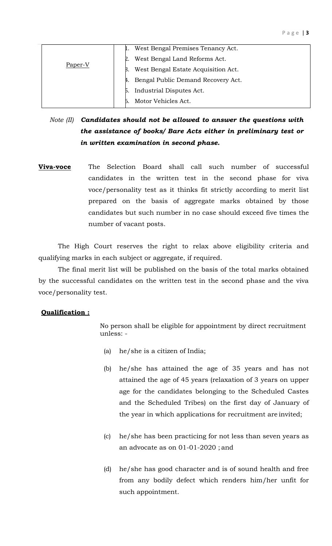| Paper-V | West Bengal Premises Tenancy Act.         |
|---------|-------------------------------------------|
|         | West Bengal Land Reforms Act.<br>2.       |
|         | West Bengal Estate Acquisition Act.<br>Β. |
|         | Bengal Public Demand Recovery Act.        |
|         | Industrial Disputes Act.<br>Б.            |
|         | Motor Vehicles Act.                       |

# *Note (II) Candidates should not be allowed to answer the questions with the assistance of books/ Bare Acts either in preliminary test or in written examination in second phase.*

**Viva-voce** The Selection Board shall call such number of successful candidates in the written test in the second phase for viva voce/personality test as it thinks fit strictly according to merit list prepared on the basis of aggregate marks obtained by those candidates but such number in no case should exceed five times the number of vacant posts.

The High Court reserves the right to relax above eligibility criteria and qualifying marks in each subject or aggregate, if required.

The final merit list will be published on the basis of the total marks obtained by the successful candidates on the written test in the second phase and the viva voce/personality test.

# **Qualification :**

No person shall be eligible for appointment by direct recruitment unless: -

- (a) he/she is a citizen of India;
- (b) he/she has attained the age of 35 years and has not attained the age of 45 years (relaxation of 3 years on upper age for the candidates belonging to the Scheduled Castes and the Scheduled Tribes) on the first day of January of the year in which applications for recruitment are invited;
- (c) he/she has been practicing for not less than seven years as an advocate as on 01-01-2020 ; and
- (d) he/she has good character and is of sound health and free from any bodily defect which renders him/her unfit for such appointment.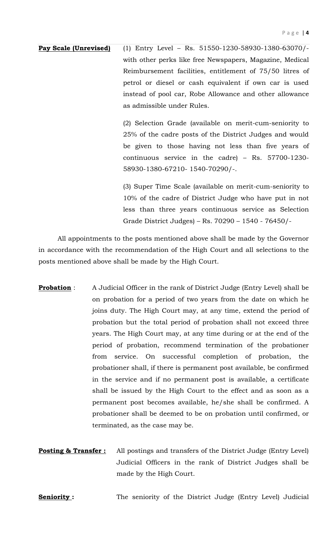**Pay Scale (Unrevised)** (1) Entry Level – Rs. 51550-1230-58930-1380-63070/ with other perks like free Newspapers, Magazine, Medical Reimbursement facilities, entitlement of 75/50 litres of petrol or diesel or cash equivalent if own car is used instead of pool car, Robe Allowance and other allowance as admissible under Rules.

> (2) Selection Grade (available on merit-cum-seniority to 25% of the cadre posts of the District Judges and would be given to those having not less than five years of continuous service in the cadre) – Rs. 57700-1230- 58930-1380-67210- 1540-70290/-.

> (3) Super Time Scale (available on merit-cum-seniority to 10% of the cadre of District Judge who have put in not less than three years continuous service as Selection Grade District Judges) – Rs. 70290 – 1540 - 76450/-

All appointments to the posts mentioned above shall be made by the Governor in accordance with the recommendation of the High Court and all selections to the posts mentioned above shall be made by the High Court.

- **Probation** : A Judicial Officer in the rank of District Judge (Entry Level) shall be on probation for a period of two years from the date on which he joins duty. The High Court may, at any time, extend the period of probation but the total period of probation shall not exceed three years. The High Court may, at any time during or at the end of the period of probation, recommend termination of the probationer from service. On successful completion of probation, the probationer shall, if there is permanent post available, be confirmed in the service and if no permanent post is available, a certificate shall be issued by the High Court to the effect and as soon as a permanent post becomes available, he/she shall be confirmed. A probationer shall be deemed to be on probation until confirmed, or terminated, as the case may be.
- **Posting & Transfer :** All postings and transfers of the District Judge (Entry Level) Judicial Officers in the rank of District Judges shall be made by the High Court.

**Seniority :** The seniority of the District Judge (Entry Level) Judicial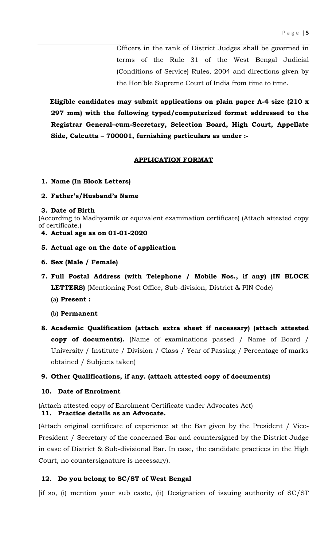Officers in the rank of District Judges shall be governed in terms of the Rule 31 of the West Bengal Judicial (Conditions of Service) Rules, 2004 and directions given by the Hon'ble Supreme Court of India from time to time.

**Eligible candidates may submit applications on plain paper A-4 size (210 x 297 mm) with the following typed/computerized format addressed to the Registrar General–cum-Secretary, Selection Board, High Court, Appellate Side, Calcutta – 700001, furnishing particulars as under :-**

#### **APPLICATION FORMAT**

- **1. Name (In Block Letters)**
- **2. Father's/Husband's Name**

#### **3. Date of Birth**

(According to Madhyamik or equivalent examination certificate) (Attach attested copy of certificate.)

- **4. Actual age as on 01-01-2020**
- **5. Actual age on the date of application**
- **6. Sex (Male / Female)**
- **7. Full Postal Address (with Telephone / Mobile Nos., if any) (IN BLOCK LETTERS)** (Mentioning Post Office, Sub-division, District & PIN Code)
	- **(a) Present :**
	- **(b) Permanent**
- **8. Academic Qualification (attach extra sheet if necessary) (attach attested copy of documents).** (Name of examinations passed / Name of Board / University / Institute / Division / Class / Year of Passing / Percentage of marks obtained / Subjects taken)

#### **9. Other Qualifications, if any. (attach attested copy of documents)**

## **10. Date of Enrolment**

(Attach attested copy of Enrolment Certificate under Advocates Act) **11. Practice details as an Advocate.**

(Attach original certificate of experience at the Bar given by the President / Vice-President / Secretary of the concerned Bar and countersigned by the District Judge in case of District & Sub-divisional Bar. In case, the candidate practices in the High Court, no countersignature is necessary).

## **12. Do you belong to SC/ST of West Bengal**

 $[$ if so, (i) mention your sub caste, (ii) Designation of issuing authority of  $SC/ST$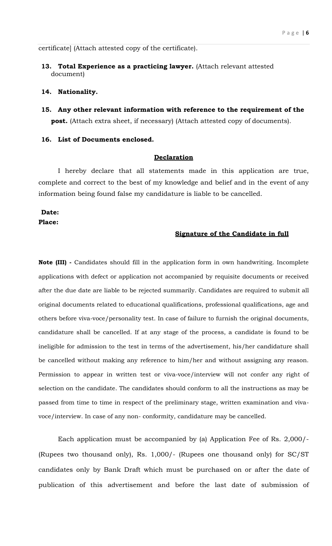certificate] (Attach attested copy of the certificate).

**13. Total Experience as a practicing lawyer.** (Attach relevant attested document)

#### **14. Nationality.**

**15. Any other relevant information with reference to the requirement of the post.** (Attach extra sheet, if necessary) (Attach attested copy of documents).

#### **16. List of Documents enclosed.**

#### **Declaration**

I hereby declare that all statements made in this application are true, complete and correct to the best of my knowledge and belief and in the event of any information being found false my candidature is liable to be cancelled.

## **Date: Place:**

## **Signature of the Candidate in full**

**Note (III) -** Candidates should fill in the application form in own handwriting. Incomplete applications with defect or application not accompanied by requisite documents or received after the due date are liable to be rejected summarily. Candidates are required to submit all original documents related to educational qualifications, professional qualifications, age and others before viva-voce/personality test. In case of failure to furnish the original documents, candidature shall be cancelled. If at any stage of the process, a candidate is found to be ineligible for admission to the test in terms of the advertisement, his/her candidature shall be cancelled without making any reference to him/her and without assigning any reason. Permission to appear in written test or viva-voce/interview will not confer any right of selection on the candidate. The candidates should conform to all the instructions as may be passed from time to time in respect of the preliminary stage, written examination and vivavoce/interview. In case of any non- conformity, candidature may be cancelled.

Each application must be accompanied by (a) Application Fee of Rs. 2,000/- (Rupees two thousand only), Rs. 1,000/- (Rupees one thousand only) for SC/ST candidates only by Bank Draft which must be purchased on or after the date of publication of this advertisement and before the last date of submission of